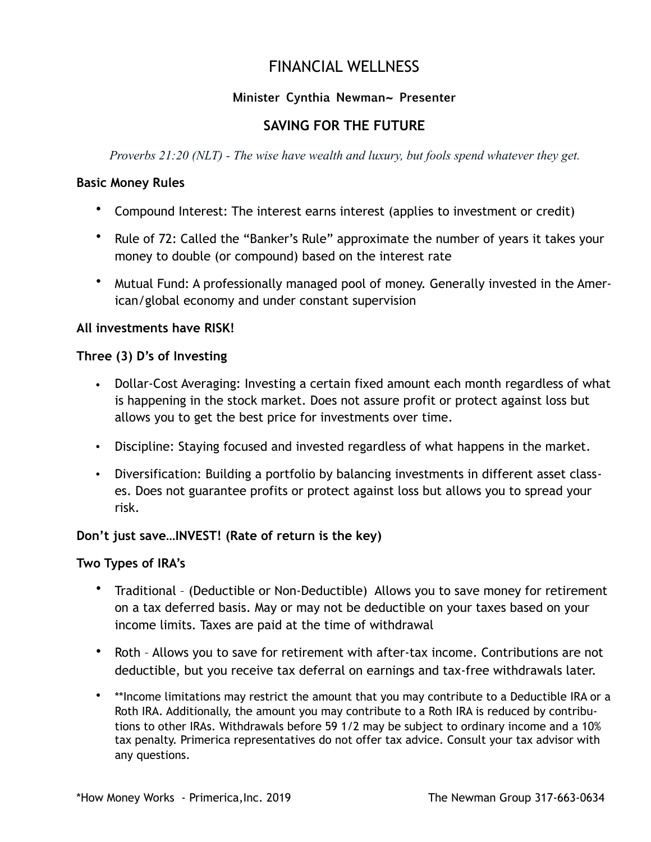# FINANCIAL WELLNESS

## **Minister Cynthia Newman~ Presenter**

# **SAVING FOR THE FUTURE**

*Proverbs 21:20 (NLT) - The wise have wealth and luxury, but fools spend whatever they get.*

#### **Basic Money Rules**

- Compound Interest: The interest earns interest (applies to investment or credit)
- Rule of 72: Called the "Banker's Rule" approximate the number of years it takes your money to double (or compound) based on the interest rate
- Mutual Fund: A professionally managed pool of money. Generally invested in the American/global economy and under constant supervision

#### **All investments have RISK!**

#### **Three (3) D's of Investing**

- Dollar-Cost Averaging: Investing a certain fixed amount each month regardless of what is happening in the stock market. Does not assure profit or protect against loss but allows you to get the best price for investments over time.
- Discipline: Staying focused and invested regardless of what happens in the market.
- Diversification: Building a portfolio by balancing investments in different asset classes. Does not guarantee profits or protect against loss but allows you to spread your risk.

## **Don't just save…INVEST! (Rate of return is the key)**

## **Two Types of IRA's**

- Traditional (Deductible or Non-Deductible) Allows you to save money for retirement on a tax deferred basis. May or may not be deductible on your taxes based on your income limits. Taxes are paid at the time of withdrawal
- Roth Allows you to save for retirement with after-tax income. Contributions are not deductible, but you receive tax deferral on earnings and tax-free withdrawals later.
- \*\*Income limitations may restrict the amount that you may contribute to a Deductible IRA or a Roth IRA. Additionally, the amount you may contribute to a Roth IRA is reduced by contributions to other IRAs. Withdrawals before 59 1/2 may be subject to ordinary income and a 10% tax penalty. Primerica representatives do not offer tax advice. Consult your tax advisor with any questions.